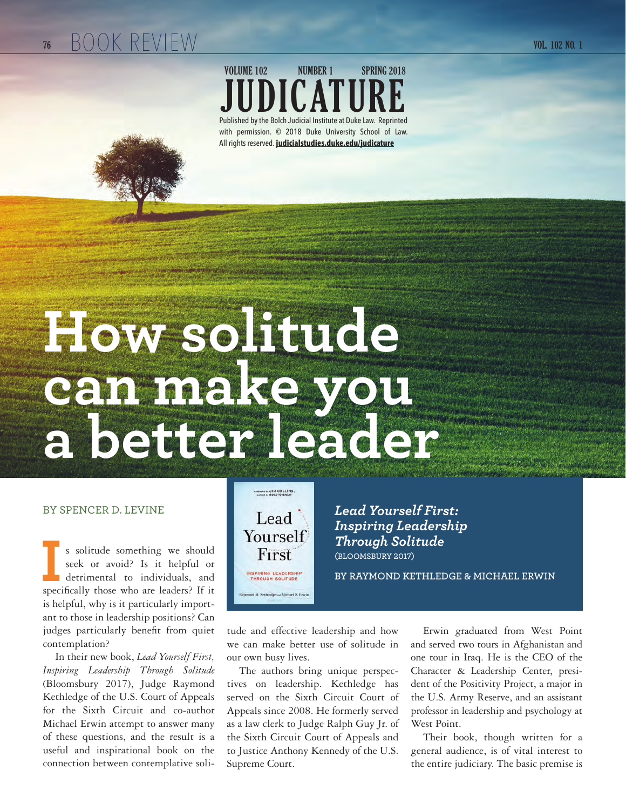#### **76 VOL. 102 NO. 1** BOOK REVIEW

### **JUDICATURE** Published by the Bolch Judicial Institute at Duke Law. Reprinted with permission. © 2018 Duke University School of Law. All rights reserved. **judicialstudies.duke.edu/judicature VOLUME 102 NUMBER 1 SPRING 2018**

# **How solitude can make you a better leader**

#### BY SPENCER D. LEVINE

s solitude something we should seek or avoid? Is it helpful or detrimental to individuals, and s solitude something we should<br>seek or avoid? Is it helpful or<br>detrimental to individuals, and<br>specifically those who are leaders? If it is helpful, why is it particularly important to those in leadership positions? Can judges particularly benefit from quiet contemplation?

In their new book, *Lead Yourself First, Inspiring Leadership Through Solitude*  (Bloomsbury 2017), Judge Raymond Kethledge of the U.S. Court of Appeals for the Sixth Circuit and co-author Michael Erwin attempt to answer many of these questions, and the result is a useful and inspirational book on the connection between contemplative soli-



*Lead Yourself First: Inspiring Leadership Through Solitude* **(BLOOMSBURY 2017)**

**BY RAYMOND KETHLEDGE & MICHAEL ERWIN**

tude and effective leadership and how we can make better use of solitude in our own busy lives.

The authors bring unique perspectives on leadership. Kethledge has served on the Sixth Circuit Court of Appeals since 2008. He formerly served as a law clerk to Judge Ralph Guy Jr. of the Sixth Circuit Court of Appeals and to Justice Anthony Kennedy of the U.S. Supreme Court.

Erwin graduated from West Point and served two tours in Afghanistan and one tour in Iraq. He is the CEO of the Character & Leadership Center, president of the Positivity Project, a major in the U.S. Army Reserve, and an assistant professor in leadership and psychology at West Point.

Their book, though written for a general audience, is of vital interest to the entire judiciary. The basic premise is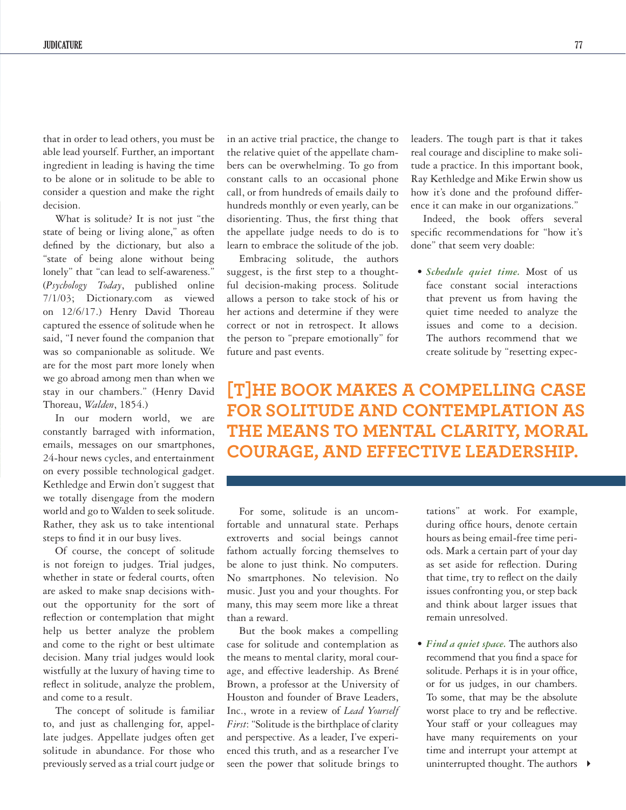that in order to lead others, you must be able lead yourself. Further, an important ingredient in leading is having the time to be alone or in solitude to be able to consider a question and make the right decision.

What is solitude? It is not just "the state of being or living alone," as often defined by the dictionary, but also a "state of being alone without being lonely" that "can lead to self-awareness." (*Psychology Today*, published online 7/1/03; Dictionary.com as viewed on 12/6/17.) Henry David Thoreau captured the essence of solitude when he said, "I never found the companion that was so companionable as solitude. We are for the most part more lonely when we go abroad among men than when we stay in our chambers." (Henry David Thoreau, *Walden*, 1854.)

In our modern world, we are constantly barraged with information, emails, messages on our smartphones, 24-hour news cycles, and entertainment on every possible technological gadget. Kethledge and Erwin don't suggest that we totally disengage from the modern world and go to Walden to seek solitude. Rather, they ask us to take intentional steps to find it in our busy lives.

Of course, the concept of solitude is not foreign to judges. Trial judges, whether in state or federal courts, often are asked to make snap decisions without the opportunity for the sort of reflection or contemplation that might help us better analyze the problem and come to the right or best ultimate decision. Many trial judges would look wistfully at the luxury of having time to reflect in solitude, analyze the problem, and come to a result.

The concept of solitude is familiar to, and just as challenging for, appellate judges. Appellate judges often get solitude in abundance. For those who previously served as a trial court judge or

in an active trial practice, the change to the relative quiet of the appellate chambers can be overwhelming. To go from constant calls to an occasional phone call, or from hundreds of emails daily to hundreds monthly or even yearly, can be disorienting. Thus, the first thing that the appellate judge needs to do is to learn to embrace the solitude of the job.

Embracing solitude, the authors suggest, is the first step to a thoughtful decision-making process. Solitude allows a person to take stock of his or her actions and determine if they were correct or not in retrospect. It allows the person to "prepare emotionally" for future and past events.

leaders. The tough part is that it takes real courage and discipline to make solitude a practice. In this important book, Ray Kethledge and Mike Erwin show us how it's done and the profound difference it can make in our organizations."

Indeed, the book offers several specific recommendations for "how it's done" that seem very doable:

*• Schedule quiet time.* Most of us face constant social interactions that prevent us from having the quiet time needed to analyze the issues and come to a decision. The authors recommend that we create solitude by "resetting expec-

**[T]HE BOOK MAKES A COMPELLING CASE FOR SOLITUDE AND CONTEMPLATION AS THE MEANS TO MENTAL CLARITY, MORAL COURAGE, AND EFFECTIVE LEADERSHIP.** 

For some, solitude is an uncomfortable and unnatural state. Perhaps extroverts and social beings cannot fathom actually forcing themselves to be alone to just think. No computers. No smartphones. No television. No music. Just you and your thoughts. For many, this may seem more like a threat than a reward.

But the book makes a compelling case for solitude and contemplation as the means to mental clarity, moral courage, and effective leadership. As Brené Brown, a professor at the University of Houston and founder of Brave Leaders, Inc., wrote in a review of *Lead Yourself First*: "Solitude is the birthplace of clarity and perspective. As a leader, I've experienced this truth, and as a researcher I've seen the power that solitude brings to

tations" at work. For example, during office hours, denote certain hours as being email-free time periods. Mark a certain part of your day as set aside for reflection. During that time, try to reflect on the daily issues confronting you, or step back and think about larger issues that remain unresolved.

uninterrupted thought. The authors  $\rightarrow$ *• Find a quiet space.* The authors also recommend that you find a space for solitude. Perhaps it is in your office, or for us judges, in our chambers. To some, that may be the absolute worst place to try and be reflective. Your staff or your colleagues may have many requirements on your time and interrupt your attempt at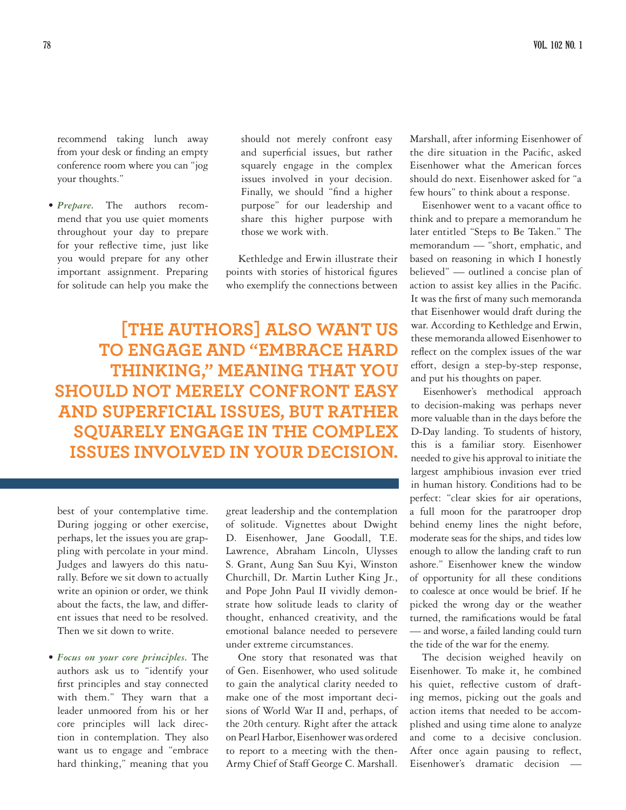recommend taking lunch away from your desk or finding an empty conference room where you can "jog your thoughts."

*• Prepare.* The authors recommend that you use quiet moments throughout your day to prepare for your reflective time, just like you would prepare for any other important assignment. Preparing for solitude can help you make the

should not merely confront easy and superficial issues, but rather squarely engage in the complex issues involved in your decision. Finally, we should "find a higher purpose" for our leadership and share this higher purpose with those we work with.

Kethledge and Erwin illustrate their points with stories of historical figures who exemplify the connections between

**[THE AUTHORS] ALSO WANT US TO ENGAGE AND "EMBRACE HARD THINKING," MEANING THAT YOU SHOULD NOT MERELY CONFRONT EASY AND SUPERFICIAL ISSUES, BUT RATHER SQUARELY ENGAGE IN THE COMPLEX ISSUES INVOLVED IN YOUR DECISION.** 

best of your contemplative time. During jogging or other exercise, perhaps, let the issues you are grappling with percolate in your mind. Judges and lawyers do this naturally. Before we sit down to actually write an opinion or order, we think about the facts, the law, and different issues that need to be resolved. Then we sit down to write.

*• Focus on your core principles.* The authors ask us to "identify your first principles and stay connected with them." They warn that a leader unmoored from his or her core principles will lack direction in contemplation. They also want us to engage and "embrace hard thinking," meaning that you

great leadership and the contemplation of solitude. Vignettes about Dwight D. Eisenhower, Jane Goodall, T.E. Lawrence, Abraham Lincoln, Ulysses S. Grant, Aung San Suu Kyi, Winston Churchill, Dr. Martin Luther King Jr., and Pope John Paul II vividly demonstrate how solitude leads to clarity of thought, enhanced creativity, and the emotional balance needed to persevere under extreme circumstances.

One story that resonated was that of Gen. Eisenhower, who used solitude to gain the analytical clarity needed to make one of the most important decisions of World War II and, perhaps, of the 20th century. Right after the attack on Pearl Harbor, Eisenhower was ordered to report to a meeting with the then-Army Chief of Staff George C. Marshall.

Marshall, after informing Eisenhower of the dire situation in the Pacific, asked Eisenhower what the American forces should do next. Eisenhower asked for "a few hours" to think about a response.

Eisenhower went to a vacant office to think and to prepare a memorandum he later entitled "Steps to Be Taken." The memorandum — "short, emphatic, and based on reasoning in which I honestly believed" — outlined a concise plan of action to assist key allies in the Pacific. It was the first of many such memoranda that Eisenhower would draft during the war. According to Kethledge and Erwin, these memoranda allowed Eisenhower to reflect on the complex issues of the war effort, design a step-by-step response, and put his thoughts on paper.

Eisenhower's methodical approach to decision-making was perhaps never more valuable than in the days before the D-Day landing. To students of history, this is a familiar story. Eisenhower needed to give his approval to initiate the largest amphibious invasion ever tried in human history. Conditions had to be perfect: "clear skies for air operations, a full moon for the paratrooper drop behind enemy lines the night before, moderate seas for the ships, and tides low enough to allow the landing craft to run ashore." Eisenhower knew the window of opportunity for all these conditions to coalesce at once would be brief. If he picked the wrong day or the weather turned, the ramifications would be fatal — and worse, a failed landing could turn the tide of the war for the enemy.

The decision weighed heavily on Eisenhower. To make it, he combined his quiet, reflective custom of drafting memos, picking out the goals and action items that needed to be accomplished and using time alone to analyze and come to a decisive conclusion. After once again pausing to reflect, Eisenhower's dramatic decision —